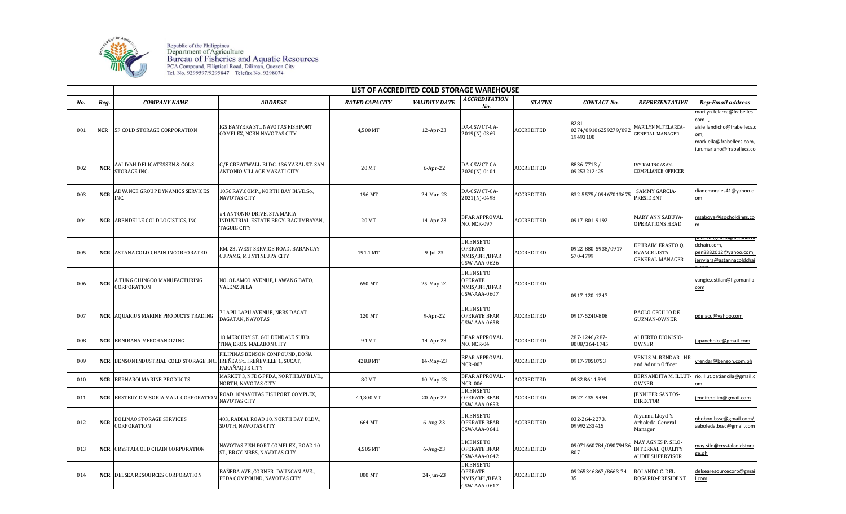

Republic of the Philippines<br>Department of Agriculture<br>Bureau of Fisheries and Aquatic Resources<br>PCA Compound, Elliptical Road, Diliman, Quezon City<br>Tel. No. 9299597/9295847 Telefax No. 9298074

|     |            | LIST OF ACCREDITED COLD STORAGE WAREHOUSE       |                                                                                          |                       |                      |                                                               |                   |                                           |                                                                          |                                                                                                                                  |  |
|-----|------------|-------------------------------------------------|------------------------------------------------------------------------------------------|-----------------------|----------------------|---------------------------------------------------------------|-------------------|-------------------------------------------|--------------------------------------------------------------------------|----------------------------------------------------------------------------------------------------------------------------------|--|
| No. | Reg.       | <b>COMPANY NAME</b>                             | <b>ADDRESS</b>                                                                           | <b>RATED CAPACITY</b> | <b>VALIDITY DATE</b> | ACCREDITATION<br>No.                                          | <b>STATUS</b>     | <b>CONTACT No.</b>                        | <b>REPRESENTATIVE</b>                                                    | <b>Rep-Email address</b>                                                                                                         |  |
| 001 | <b>NCR</b> | 5F COLD STORAGE CORPORATION                     | IGS BANYERA ST., NAVOTAS FISHPORT<br>COMPLEX, NCBN NAVOTAS CITY                          | 4,500 MT              | 12-Apr-23            | DA-CSWCT-CA-<br>2019(N)-0369                                  | ACCREDITED        | 8281-<br>0274/09106259279/092<br>19493100 | <b>MARILYN M. FELARCA-</b><br><b>ENERAL MANAGER</b>                      | marilyn.felarca@frabelles.<br>com<br>alsie.landicho@frabellecs.c<br>om,<br>mark.ella@frabellecs.com,<br>un.mariano@frabellecs.co |  |
| 002 | <b>NCR</b> | AALIYAH DELICATESSEN & COLS<br>STORAGE INC.     | G/F GREATWALL BLDG. 136 YAKAL ST. SAN<br>ANTONIO VILLAGE MAKATI CITY                     | 20 MT                 | $6$ -Apr-22          | DA-CSWCT-CA-<br>2020(N)-0404                                  | ACCREDITED        | 8836-7713 /<br>09253212425                | <b>IVY KALINGASAN-</b><br><b>COMPLIANCE OFFICER</b>                      |                                                                                                                                  |  |
| 003 | <b>NCR</b> | ADVANCE GROUP DYNAMICS SERVICES<br>INC.         | 1056 RAV.COMP., NORTH BAY BLVD.So.,<br>NAVOTAS CITY                                      | 196 MT                | 24-Mar-23            | DA-CSWCT-CA-<br>2021(N)-0498                                  | ACCREDITED        | 832-5575/09467013675                      | SAMMY GARCIA-<br>PRESIDENT                                               | dianemorales41@yahoo.c<br>om                                                                                                     |  |
| 004 |            | <b>NCR</b> ARENDELLE COLD LOGISTICS, INC        | #4 ANTONIO DRIVE, STA MARIA<br>INDUSTRIAL ESTATE BRGY. BAGUMBAYAN,<br><b>TAGUIG CITY</b> | 20 MT                 | 14-Apr-23            | <b>BFAR APPROVAL</b><br><b>NO. NCR-097</b>                    | <b>ACCREDITED</b> | 0917-801-9192                             | MARY ANN SABUYA-<br><b>OPERATIONS HEAD</b>                               | msaboya@isocholdings.co<br>m                                                                                                     |  |
| 005 |            | <b>NCR ASTANA COLD CHAIN INCORPORATED</b>       | KM. 23, WEST SERVICE ROAD, BARANGAY<br>CUPAMG, MUNTINLUPA CITY                           | 191.1 MT              | $9$ -Jul-23          | LICENSE TO<br>OPERATE<br>NMIS/BPI/BFAR<br>CSW-AAA-0626        | ACCREDITED        | 0922-880-5938/0917-<br>570-4799           | EPHRAIM ERASTO O.<br>EVANGELISTA-<br><b>GENERAL MANAGER</b>              | enevangensta@astanacor<br>dchain.com,<br>en8882012@yahoo.com,<br>erryjara@astannacoldcha                                         |  |
| 006 | <b>NCR</b> | A.TUNG CHINGCO MANUFACTURING<br>CORPORATION     | NO. 8 LAMCO AVENUE, LAWANG BATO,<br>VALENZUELA                                           | 650 MT                | 25-May-24            | LICENSE TO<br><b>OPERATE</b><br>NMIS/BPI/BFAR<br>CSW-AAA-0607 | ACCREDITED        | 0917-120-1247                             |                                                                          | vangie.estilan@ligomanila.<br>com                                                                                                |  |
| 007 |            | <b>NCR AQUARIUS MARINE PRODUCTS TRADING</b>     | 7 LAPU LAPU AVENUE, NBBS DAGAT<br>DAGATAN, NAVOTAS                                       | 120 MT                | 9-Apr-22             | LICENSE TO<br>OPERATE BFAR<br>CSW-AAA-0658                    | <b>ACCREDITED</b> | 0917-5240-808                             | PAOLO CECILIO DE<br>GUZMAN-OWNER                                         | pdg.acu@yahoo.com                                                                                                                |  |
| 008 |            | <b>NCR</b> BENIBANA MERCHANDIZING               | 18 MERCURY ST. GOLDENDALE SUBD.<br>TINAJEROS, MALABON CITY                               | 94 MT                 | 14-Apr-23            | <b>BFAR APPROVAL</b><br><b>NO. NCR-04</b>                     | ACCREDITED        | 287-1246/287-<br>8088/364-1745            | ALBERTO DIONISIO-<br><b>OWNER</b>                                        | apanchoice@gmail.com                                                                                                             |  |
| 009 |            | <b>NCR   BENSON INDUSTRIAL COLD STORAGE INC</b> | FILIPINAS BENSON COMPOUND, DOÑA<br>IREÑEA St., IREÑEVILLE 1, SUCAT,<br>PARAÑAQUE CITY    | 428.8 MT              | 14-May-23            | BFAR APPROVAL -<br><b>NCR-007</b>                             | ACCREDITED        | 0917-7050753                              | VENUS M. RENDAR - HR<br>and Admin Officer                                | vrendar@benson.com.ph                                                                                                            |  |
| 010 | NCR        | <b>BERNAROI MARINE PRODUCTS</b>                 | MARKET 3, NFDC-PFDA, NORTHBAY BLVD.,<br>NORTH, NAVOTAS CITY                              | <b>80 MT</b>          | 10-May-23            | BFAR APPROVAL -<br><b>NCR-006</b>                             | ACCREDITED        | 0932 8644 599                             | <b>OWNER</b>                                                             | BERNANDITA M. ILLUT- rio.illut.batiancila@gmail.c<br>оm                                                                          |  |
| 011 |            | <b>NCR BESTBUY DIVISORIA MALL CORPORATION</b>   | ROAD 10NAVOTAS FISHPORT COMPLEX,<br>NAVOTAS CITY                                         | 44,800 MT             | 20-Apr-22            | LICENSE TO<br>OPERATE BFAR<br>CSW-AAA-0653                    | ACCREDITED        | 0927-435-9494                             | <b>ENNIFER SANTOS-</b><br><b>DIRECTOR</b>                                | jenniferplim@gmail.com                                                                                                           |  |
| 012 | <b>NCR</b> | BOLINAO STORAGE SERVICES<br>CORPORATION         | 403, RADIAL ROAD 10, NORTH BAY BLDV.,<br>SOUTH, NAVOTAS CITY                             | 664 MT                | $6$ -Aug-23          | LICENSE TO<br><b>OPERATE BFAR</b><br>CSW-AAA-0641             | ACCREDITED        | 032-264-2273,<br>09992233415              | Alyanna Lloyd Y.<br>Arboleda-General<br>Manager                          | nbobon.bssc@gmail.com/<br>aaboleda.bssc@gmail.com                                                                                |  |
| 013 |            | <b>NCR CRYSTALCOLD CHAIN CORPORATION</b>        | NAVOTAS FISH PORT COMPLEX , ROAD 10<br>ST., BRGY. NBBS, NAVOTAS CITY                     | 4,505 MT              | $6$ -Aug-23          | LICENSE TO<br><b>OPERATE BFAR</b><br>CSW-AAA-0642             | ACCREDITED        | 09071660784/09079436<br>807               | MAY AGNES P. SILO-<br><b>INTERNAL QUALITY</b><br><b>AUDIT SUPERVISOR</b> | may.silo@crystalcoldstora<br>ge.ph                                                                                               |  |
| 014 | <b>NCR</b> | DELSEA RESOURCES CORPORATION                    | BAÑERA AVE.,CORNER  DAUNGAN AVE.,<br>PFDA COMPOUND, NAVOTAS CITY                         | 800 MT                | 24-Jun-23            | <b>LICENSE TO</b><br>OPERATE<br>NMIS/BPI/BFAR<br>CSW-AAA-0617 | <b>ACCREDITED</b> | 09265346867/8663-74-<br>35                | ROLANDO C. DEL<br>ROSARIO-PRESIDENT                                      | delsearesourcecorp@gmai<br>.com                                                                                                  |  |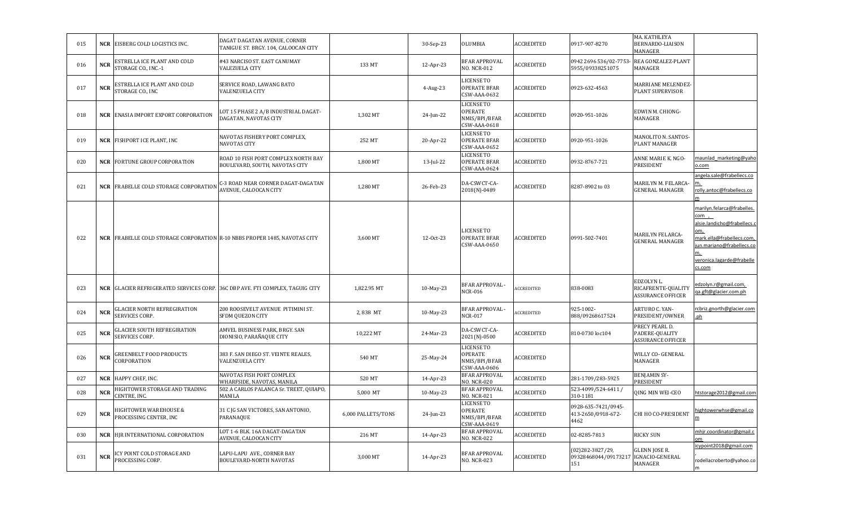| 015 | <b>NCR</b> | EISBERG COLD LOGISTICS INC.                                                      | DAGAT DAGATAN AVENUE, CORNER<br>TANIGUE ST. BRGY. 104, CALOOCAN CITY      |                    | 30-Sep-23   | OLUMBIA                                                              | <b>ACCREDITED</b> | 0917-907-8270                                                    | MA. KATHLEYA<br><b>BERNARDO-LIAISON</b><br>MANAGER           |                                                                                                                                                                                |
|-----|------------|----------------------------------------------------------------------------------|---------------------------------------------------------------------------|--------------------|-------------|----------------------------------------------------------------------|-------------------|------------------------------------------------------------------|--------------------------------------------------------------|--------------------------------------------------------------------------------------------------------------------------------------------------------------------------------|
| 016 | <b>NCR</b> | ESTRELLA ICE PLANT AND COLD<br>STORAGE CO., INC.-1                               | #43 NARCISO ST. EAST CANUMAY<br><b>VALEZUELA CITY</b>                     | 133 MT             | 12-Apr-23   | <b>BFAR APPROVAL</b><br>NO. NCR-012                                  | <b>ACCREDITED</b> | 0942 2696 536/02-7753-<br>5955/09338251075                       | REA GONZALEZ-PLANT<br>MANAGER                                |                                                                                                                                                                                |
| 017 | <b>NCR</b> | ESTRELLA ICE PLANT AND COLD<br>STORAGE CO., INC                                  | SERVICE ROAD, LAWANG BATO<br><b>VALENZUELA CITY</b>                       |                    | $4$ -Aug-23 | LICENSE TO<br><b>OPERATE BFAR</b><br>CSW-AAA-0632                    | <b>ACCREDITED</b> | 0923-632-4563                                                    | MARRIANE MELENDEZ-<br>PLANT SUPERVISOR                       |                                                                                                                                                                                |
| 018 | <b>NCR</b> | <b>ENASIA IMPORT EXPORT CORPORATION</b>                                          | LOT 15 PHASE 2 A/B INDUSTRIAL DAGAT-<br>DAGATAN, NAVOTAS CITY             | 1,302 MT           | 24-Jun-22   | <b>LICENSE TO</b><br><b>OPERATE</b><br>NMIS/BPI/BFAR<br>CSW-AAA-0618 | ACCREDITED        | 0920-951-1026                                                    | EDWIN M. CHIONG-<br>MANAGER                                  |                                                                                                                                                                                |
| 019 | <b>NCR</b> | FISHPORT ICE PLANT, INC                                                          | NAVOTAS FISHERY PORT COMPLEX,<br>NAVOTAS CITY                             | 252 MT             | 20-Apr-22   | <b>LICENSE TO</b><br><b>OPERATE BFAR</b><br>CSW-AAA-0652             | <b>ACCREDITED</b> | 0920-951-1026                                                    | MANOLITO N. SANTOS-<br>PLANT MANAGER                         |                                                                                                                                                                                |
| 020 | <b>NCR</b> | <b>FORTUNE GROUP CORPORATION</b>                                                 | ROAD 10 FISH PORT COMPLEX NORTH BAY<br>BOULEVARD, SOUTH, NAVOTAS CITY     | 1,800 MT           | 13-Jul-22   | <b>LICENSE TO</b><br><b>OPERATE BFAR</b><br>CSW-AAA-0624             | <b>ACCREDITED</b> | 0932-8767-721                                                    | ANNE MARIE K. NGO-<br>PRESIDENT                              | maunlad marketing@yaho<br>o.com                                                                                                                                                |
| 021 | <b>NCR</b> | <b>FRABELLE COLD STORAGE CORPORATION</b>                                         | C-3 ROAD NEAR CORNER DAGAT-DAGATAN<br>AVENUE, CALOOCAN CITY               | 1,280 MT           | 26-Feb-23   | DA-CSWCT-CA-<br>2018(N)-0489                                         | <b>ACCREDITED</b> | 8287-8902 to 03                                                  | MARILYN M. FELARCA-<br><b>GENERAL MANAGER</b>                | angela.sale@frabellecs.co<br>m.<br>rolly.antoc@frabellecs.co                                                                                                                   |
| 022 |            | <b>NCR FRABELLE COLD STORAGE CORPORATION R-10 NBBS PROPER 1485, NAVOTAS CITY</b> |                                                                           | 3,600 MT           | 12-Oct-23   | <b>LICENSE TO</b><br><b>OPERATE BFAR</b><br>CSW-AAA-0650             | <b>ACCREDITED</b> | 0991-502-7401                                                    | MARILYN FELARCA-<br><b>GENERAL MANAGER</b>                   | marilyn.felarca@frabelles.<br>com,<br>alsie.landicho@frabellecs.c<br>om,<br>mark.ella@frabellecs.com,<br>un.mariano@frabellecs.co<br>m,<br>veronica.lagarde@frabelle<br>cs.com |
| 023 | <b>NCR</b> |                                                                                  | GLACIER REFRIGERATED SERVICES CORP. 36C DBP AVE. FTI COMPLEX, TAGUIG CITY | 1,822.95 MT        | 10-May-23   | BFAR APPROVAL -<br><b>NCR-016</b>                                    | <b>ACCREDITED</b> | 838-0083                                                         | EDZOLYN L.<br>RICAFRENTE-QUALITY<br><b>ASSURANCE OFFICER</b> | edzolyn.r@gmail.com,<br>a.gft@glacier.com.ph                                                                                                                                   |
| 024 | <b>NCR</b> | <b>GLACIER NORTH REFREGIRATION</b><br>SERVICES CORP.                             | 200 ROOSEVELT AVENUE PITIMINI ST.<br><b>SFDM QUEZON CITY</b>              | 2,838 MT           | 10-May-23   | BFAR APPROVAL -<br><b>NCR-017</b>                                    | ACCREDITED        | 925-1002-<br>888/09268617524                                     | ARTURO C. YAN-<br>PRESIDENT/OWNER                            | rcbriz.gnorth@glacier.com<br>.ph                                                                                                                                               |
| 025 | <b>NCR</b> | <b>GLACIER SOUTH REFREGIRATION</b><br>SERVICES CORP.                             | AMVEL BUSINESS PARK, BRGY. SAN<br>DIONISIO, PARAÑAQUE CITY                | 10,222 MT          | 24-Mar-23   | DA-CSWCT-CA-<br>2021(N)-0500                                         | ACCREDITED        | 810-0730 loc104                                                  | PRECY PEARL D.<br>PADERE-QUALITY<br><b>ASSURANCE OFFICER</b> |                                                                                                                                                                                |
| 026 | <b>NCR</b> | <b>GREENBELT FOOD PRODUCTS</b><br>CORPORATION                                    | 383 F. SAN DIEGO ST. VEINTE REALES,<br>VALENZUELA CITY                    | 540 MT             | 25-May-24   | <b>LICENSE TO</b><br><b>OPERATE</b><br>NMIS/BPI/BFAR<br>CSW-AAA-0606 | <b>ACCREDITED</b> |                                                                  | WILLY CO- GENERAL<br>MANAGER                                 |                                                                                                                                                                                |
| 027 | <b>NCR</b> | HAPPY CHEF, INC.                                                                 | NAVOTAS FISH PORT COMPLEX<br>WHARFSIDE, NAVOTAS, MANILA                   | 520 MT             | 14-Apr-23   | <b>BFAR APPROVAL</b><br>NO. NCR-020                                  | ACCREDITED        | 281-1709/283-5925                                                | BENJAMIN SY-<br>PRESIDENT                                    |                                                                                                                                                                                |
| 028 | <b>NCR</b> | HIGHTOWER STORAGE AND TRADING<br>CENTRE, INC.                                    | 502 A CARLOS PALANCA Sr. TREET, QUIAPO,<br>MANILA                         | 5,000 MT           | 10-May-23   | <b>BFAR APPROVAL</b><br><b>NO. NCR-021</b>                           | <b>ACCREDITED</b> | 523-4099/524-6411 /<br>310-1181                                  | QING MIN WEI-CEO                                             | htstorage2012@gmail.com                                                                                                                                                        |
| 029 | <b>NCR</b> | HIGHTOWER WAREHOUSE &<br>PROCESSING CENTER, INC                                  | 31 C JG SAN VICTORES, SAN ANTONIO,<br>PARANAQUE                           | 6,000 PALLETS/TONS | 24-Jun-23   | <b>LICENSE TO</b><br><b>OPERATE</b><br>NMIS/BPI/BFAR<br>CSW-AAA-0619 | <b>ACCREDITED</b> | 0928-635-7421/0945-<br>413-2650/0918-672-<br>4462                | CHI HO CO-PRESIDENT                                          | nightowerwhse@gmail.co                                                                                                                                                         |
| 030 | <b>NCR</b> | HJR INTERNATIONAL CORPORATION                                                    | LOT 1-6 BLK. 16A DAGAT-DAGATAN<br>AVENUE, CALOOCAN CITY                   | 216 MT             | 14-Apr-23   | <b>BFAR APPROVAL</b><br><b>NO. NCR-022</b>                           | ACCREDITED        | 02-8285-7813                                                     | RICKY SUN                                                    | mhjr.coordinator@gmail.c<br>om                                                                                                                                                 |
| 031 | <b>NCR</b> | ICY POINT COLD STORAGE AND<br>PROCESSING CORP.                                   | LAPU-LAPU AVE., CORNER BAY<br>BOULEVARD-NORTH NAVOTAS                     | 3,000 MT           | 14-Apr-23   | <b>BFAR APPROVAL</b><br><b>NO. NCR-023</b>                           | <b>ACCREDITED</b> | (02) 282-3827/29,<br>09328468044/09173217 IGNACIO-GENERAL<br>151 | <b>GLENN JOSE R.</b><br>MANAGER                              | icypoint2018@gmail.com<br>rodellacroberto@yahoo.co<br>m                                                                                                                        |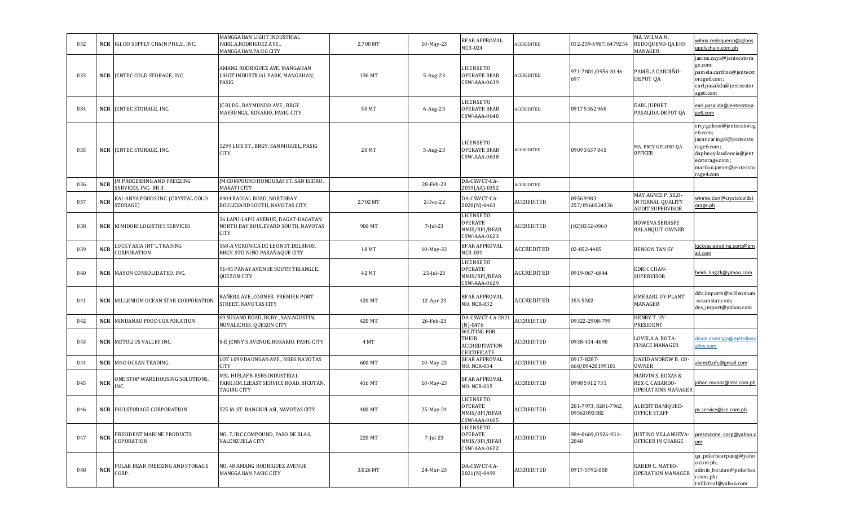| 032 | <b>NCR</b> | IGLOO SUPPLY CHAIN PHILS., INC.                    | MANGGAHAN LIGHT INDUSTRIAL<br>PARK, A.RODRIGUEZ AVE.,<br>MANGGAHAN, PASIG CITY       | 2,700 MT | 10-May-23    | <b>BFAR APPROVAL</b><br>NCR-024                                      | <b>ACCREDITED</b> | 012-259-6987, 6479254               | MA. WILMA M.<br>REDOQUENO-QA EHS<br>MANAGER                       | wilma.redoquerio@igloos<br>upplychain.com.ph                                                                                                                       |
|-----|------------|----------------------------------------------------|--------------------------------------------------------------------------------------|----------|--------------|----------------------------------------------------------------------|-------------------|-------------------------------------|-------------------------------------------------------------------|--------------------------------------------------------------------------------------------------------------------------------------------------------------------|
| 033 |            | <b>NCR JENTEC COLD STORAGE, INC.</b>               | AMANG RODRIGUEZ AVE. MANGAHAN<br>LIHGT INDUSTRIAL PARK, MANGAHAN,<br>PASIG           | 136 MT   | 5-Aug-23     | LICENSE TO<br><b>OPERATE BFAR</b><br>CSW-AAA-0639                    | ACCREDITED        | 971-7801/0956-8146-<br>697          | PAMELA CARDIÑO-<br>DEPOT QA                                       | janine.cuya@jentecstora<br>ge.com;<br>pamela.cardino@jentecst<br>orage6.com;<br>earl.pasalida@jentecstor<br>age6.com                                               |
| 034 |            | <b>NCR JENTEC STORAGE, INC.</b>                    | JC BLDG., RAYMUNDO AVE., BRGY.<br>MAYBUNGA, ROSARIO, PASIG CITY                      | 50 MT    | 6-Aug-23     | LICENSE TO<br>OPERATE BFAR<br>CSW-AAA-0640                           | <b>ACCREDITED</b> | 0917 5362 968                       | EARL JUPHET<br>PASALIDA-DEPOT QA                                  | earl.pasalida@jentecstora<br>ge6.com                                                                                                                               |
| 035 |            | <b>NCR JENTEC STORAGE, INC.</b>                    | 1299 LUIS ST., BRGY. SAN MIGUEL, PASIG<br>CITY                                       | 20 MT    | 5-Aug-23     | LICENSE TO<br><b>OPERATE BFAR</b><br>CSW-AAA-0638                    | ACCREDITED        | 0909 3637 045                       | MA. ERCY GELOSO-QA<br>OFFICER                                     | ercy.geloso@jentecstorag<br>e6.com;<br>jayar.caringal@jentecsto<br>rage6.com;<br>daphney.laudencia@jent<br>ecstorage.com;<br>marilou.javier@jentecsto<br>rage4.com |
| 036 | <b>NCR</b> | JM PROCESSING AND FREEZING<br>SERVICES, INC- BR II | JM COMPOUND HONDURAS ST. SAN ISIDRO,<br><b>MAKATI CITY</b>                           |          | 28-Feb-23    | DA-CSWCT-CA-<br>2019(AA)-0352                                        | <b>ACCREDITED</b> |                                     |                                                                   |                                                                                                                                                                    |
| 037 | <b>NCR</b> | KAI-ANYA FOODS INC. (CRYSTAL COLD<br>STORAGE)      | 0404 RADIAL ROAD, NORTHBAY<br>BOULEVARD SOUTH, NAVOTAS CITY                          | 2,702 MT | 2-Dec-22     | DA-CSWCT-CA-<br>2020(N)-0463                                         | ACCREDITED        | 09569983<br>257/0966924336          | MAY AGNES P. SILO-<br>INTERNAL QUALITY<br><b>AUDIT SUPERVISOR</b> | winnie.tion@crystalcoldst<br>orage.ph                                                                                                                              |
| 038 | NCR        | KIMIDORI LOGISTICS SERVICES                        | 26 LAPU-LAPU AVENUE, DAGAT-DAGATAN<br>NORTH BAY BOULEVARD SOUTH, NAVOTAS<br>CITY     | 900 MT   | 7-Jul-23     | LICENSE TO<br>OPERATE<br>NMIS/BPI/BFAR<br>CSW-AAA-0623               | ACCREDITED        | $(02)8352-0960$                     | ROWENA SERASPE<br>BALANQUIT-OWNER                                 |                                                                                                                                                                    |
| 039 | <b>NCR</b> | LUCKY ASIA INT'L TRADING<br>CORPORATION            | 168-A VERONICA DE LEON ST.DELBROS,<br>BRGY. STO NIÑO PARAÑAQUE CITY                  | 18 MT    | 10-May-23    | <b>BFAR APPROVAL</b><br><b>NCR-031</b>                               | ACCREDITED        | 02-852-4485                         | <b>BENSON TAN SY</b>                                              | uckyasiatrading.corp@gm<br>ail.com                                                                                                                                 |
| 040 |            | <b>NCR</b> MAYON CONSOLIDATED, INC.                | 91-95 PANAY AVENUE SOUTH TRIANGLE,<br><b>QUEZON CITY</b>                             | 42 MT    | $21$ -Jul-23 | <b>LICENSE TO</b><br>OPERATE<br>NMIS/BPI/BFAR<br>CSW-AAA-0629        | ACCREDITED        | 0919-067-6844                       | <b>EDRIC CHAN-</b><br><b>SUPERVISOR</b>                           | heidi ling2k@vahoo.com                                                                                                                                             |
| 041 |            | <b>NCR MILLENIUM OCEAN STAR CORPORATION</b>        | BAÑERA AVE.,CORNER PREMIER PORT<br>STREET, NAVOTAS CITY                              | 420 MT   | 12-Apr-23    | <b>BFAR APPROVAL</b><br><b>NO. NCR-032</b>                           | ACCREDITED        | 355-5502                            | EMERARL UY-PLANT<br>MANAGER                                       | ddc.imports@millennium<br>-oceanstar.com;<br>des_import@yahoo.com                                                                                                  |
| 042 |            | <b>NCR</b> MINDANAO FOOD CORPORATION               | 69 SUSANO ROAD, BGRY., SAN AGUSTIN,<br>NOVALICHES, QUEZON CITY                       | 420 MT   | 26-Feb-23    | DA-CSWCT-CA-2021<br>$(N) - 0476$                                     | ACCREDITED        | 09322-2908-799                      | HENRY T. UY-<br>PRESIDENT                                         |                                                                                                                                                                    |
| 043 |            | <b>NCR   METOLIUS VALLEY INC.</b>                  | 8-E JENNY'S AVENUE, ROSARIO, PASIG CITY                                              | 4 MT     |              | <b>WAITING FOR</b><br>THEIR<br><b>ACCREDITATION</b><br>CERTIFICATE   | ACCREDITED        | 0938-414-4690                       | LOVELA A. ROTA-<br>FINACE MANAGER                                 | dovie.domingo@metoliusy<br><b>illey.com</b>                                                                                                                        |
| 044 |            | <b>NCR</b> MNO OCEAN TRADING                       | LOT 1099 DAUNGAN AVE., NBBS NAVOTAS<br>CITY                                          | 600 MT   | 10-May-23    | <b>BFAR APPROVAL</b><br><b>NO. NCR-034</b>                           | ACCREDITED        | 0917-8287-<br>668/09420199101       | DAVID ANDREW B. CO<br><b>OWNER</b>                                | alvinc0.ofc@gmail.com                                                                                                                                              |
| 045 | <b>NCR</b> | ONE STOP WAREHOUSING SOLUTIONS,<br>INC.            | MSL HUB,AFB-RSBS INDUSTRIAL<br>PARK, KM.12EAST SERVICE ROAD, BICUTAN,<br>TAGUIG CITY | 416 MT   | 10-May-23    | <b>BFAR APPROVAL</b><br>NO. NCR-035                                  | ACCREDITED        | 0998 5912 731                       | MARVIN S. ROXAS &<br>REX C. CABARDO-<br>OPERATIONS MANAGER        | johan.munoz@msl.com.ph                                                                                                                                             |
| 046 |            | <b>NCR</b> PHILSTORAGE CORPORATION                 | 525 M. ST. BANGKULASI, NAVOTAS CITY                                                  | 400 MT   | 25-May-24    | <b>LICENSE TO</b><br><b>OPERATE</b><br>NMIS/BPI/BFAR<br>CSW-AAA-0605 | ACCREDITED        | 281-7973, 8281-7962,<br>09563893382 | <b>ALBERT BANIQUED-</b><br>OFFICE STAFF                           | ps.service@ice.com.ph                                                                                                                                              |
| 047 | <b>NCR</b> | PRESIDENT MARINE PRODUCTS<br>COPORATION            | NO. 7, IRC COMPOUND, PASO DE BLAS,<br><b>VALENZUELA CITY</b>                         | 220 MT   | 7-Jul-23     | <b>LICENSE TO</b><br><b>OPERATE</b><br>NMIS/BPI/BFAR<br>CSW-AAA-0622 | ACCREDITED        | 984-0669/0926-931-<br>2848          | JUSTINO VILLANUEVA-<br>OFFICER IN CHARGE                          | presmarine corp@yahoo.c<br>om                                                                                                                                      |
| 048 | <b>NCR</b> | POLAR BEAR FREEZING AND STORAGE<br>CORP.           | NO. 48 AMANG RODRIGUEZ AVENUE<br>MANGGAHAN PASIG CITY                                | 3,026 MT | 24-Mar-23    | DA-CSWCT-CA-<br>2021(N)-0499                                         | <b>ACCREDITED</b> | 0917-5792-050                       | KAREN C. MATEO-<br>OPERATION MANAGER                              | qa_polarbearpasig@yaho<br>o.com.ph;<br>admin_bicutan@polarbea<br>r.com.ph;<br>t.villareal@yahoo.com                                                                |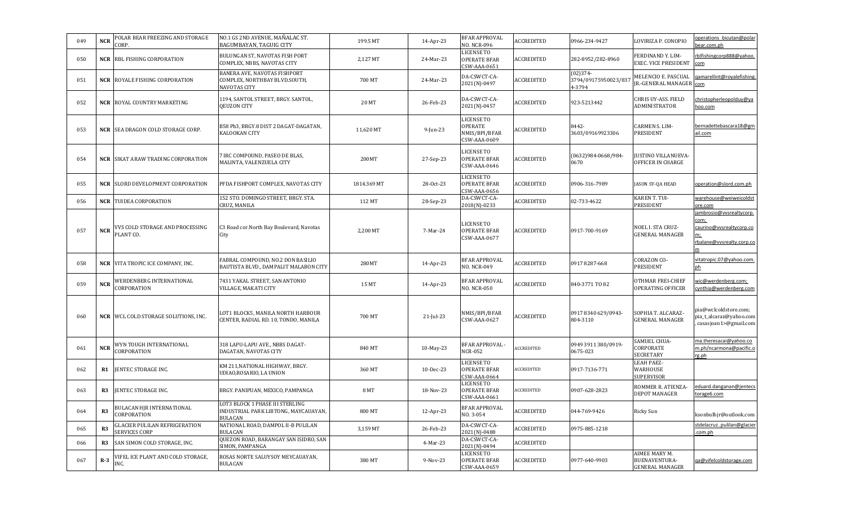| 049 | <b>NCR</b> | POLAR BEAR FREEZING AND STORAGE<br>CORP.                     | NO.1 GS 2ND AVENUE, MAÑALAC ST.<br>BAGUMBAYAN, TAGUIG CITY                                | 199.5 MT    | 14-Apr-23    | <b>BFAR APPROVAL</b><br>NO. NCR-096                      | <b>ACCREDITED</b> | 0966-234-9427                                | LOVIRIZA P. CONOPIO                               | operations bicutan@polai<br>ear.com.ph                                                          |
|-----|------------|--------------------------------------------------------------|-------------------------------------------------------------------------------------------|-------------|--------------|----------------------------------------------------------|-------------------|----------------------------------------------|---------------------------------------------------|-------------------------------------------------------------------------------------------------|
| 050 |            | <b>NCR RBL FISHING CORPORATION</b>                           | BULUNGAN ST, NAVOTAS FISH PORT<br>COMPLEX, NBBS, NAVOTAS CITY                             | 2,127 MT    | 24-Mar-23    | LICENSE TO<br>OPERATE BFAR<br>CSW-AAA-0651               | <b>ACCREDITED</b> | 282-8952/282-8960                            | FERDINAND Y. LIM-<br>EXEC. VICE PRESIDENT         | rblfishingcorp888@yahoo.<br><u>com</u>                                                          |
| 051 |            | <b>NCR</b> ROYALE FISHING CORPORATION                        | BANERA AVE, NAVOTAS FISHPORT<br>COMPLEX, NORTHBAY BLVD.SOUTH,<br>NAVOTAS CITY             | 700 MT      | 24-Mar-23    | DA-CSWCT-CA-<br>2021(N)-0497                             | <b>ACCREDITED</b> | $(02)374-$<br>3794/09175950023/837<br>4-3794 | MELENCIO E. PASCUAL<br>JR.-GENERAL MANAGER com    | gamarellint@royalefishing                                                                       |
| 052 |            | <b>NCR</b> ROYAL COUNTRY MARKETING                           | 1194, SANTOL STREET, BRGY. SANTOL,<br><b>OEUZON CITY</b>                                  | 20 MT       | 26-Feb-23    | DA-CSWCT-CA-<br>2021(N)-0457                             | <b>ACCREDITED</b> | 923-5213442                                  | CHRIS UY-ASS. FIELD<br>ADMINISTRATOR              | christopherleopolduy@ya<br>hoo.com                                                              |
| 053 |            | <b>NCR SEA DRAGON COLD STORAGE CORP.</b>                     | B58 Ph3, BRGY.8 DIST 2 DAGAT-DAGATAN,<br>KALOOKAN CITY                                    | 11,620 MT   | $9$ -Jun-23  | LICENSE TO<br>OPERATE<br>NMIS/BPI/BFAR<br>CSW-AAA-0609   | <b>ACCREDITED</b> | 8442-<br>3603/09169923306                    | <b>CARMEN S. LIM-</b><br>PRESIDENT                | bernadettebascara18@gm<br>ail.com                                                               |
| 054 |            | <b>NCR SIKAT ARAW TRADING CORPORATION</b>                    | 7 IRC COMPOUND, PASEO DE BLAS,<br>MALINTA, VALENZUELA CITY                                | 200MT       | 27-Sep-23    | <b>ICENSE TO</b><br>OPERATE BFAR<br>CSW-AAA-0646         | <b>ACCREDITED</b> | 0632)984-0668/984-<br>0670                   | JUSTINO VILLANUEVA-<br>OFFICER IN CHARGE          |                                                                                                 |
| 055 |            | <b>NCR</b> SLORD DEVELOPMENT CORPORATION                     | PFDA FISHPORT COMPLEX, NAVOTAS CITY                                                       | 1814.369 MT | 28-Oct-23    | LICENSE TO<br>OPERATE BFAR<br>CSW-AAA-0656               | <b>ACCREDITED</b> | 0906-316-7989                                | JASON SY-QA HEAD                                  | operation@slord.com.ph                                                                          |
| 056 |            | <b>NCR</b> TUIDEA CORPORATION                                | 152 STO. DOMINGO STREET, BRGY. STA.<br>CRUZ, MANILA                                       | 112 MT      | 28-Sep-23    | DA-CSWCT-CA-<br>2018(N)-0233                             | <b>ACCREDITED</b> | 02-733-4622                                  | KAREN T. TUI-<br>PRESIDENT                        | warehouse@weiweicoldst<br>ore.com                                                               |
| 057 | <b>NCR</b> | VVS COLD STORAGE AND PROCESSING<br>PLANT CO.                 | C3 Road cor. North Bay Boulevard, Navotas<br>City                                         | 2,200 MT    | 7-Mar-24     | <b>ICENSE TO</b><br>OPERATE BFAR<br>CSW-AAA-0677         | <b>ACCREDITED</b> | 0917-700-9169                                | NOEL I. STA CRUZ-<br><b>GENERAL MANAGER</b>       | jambrosio@vvsrealtycorp.<br>com;<br>caurino@vvsrealtycorp.co<br>m;<br>rbalane@vvsrealty.corp.co |
| 058 |            | NCR VITA TROPIC ICE COMPANY, INC.                            | FABRAL COMPOUND, NO.2 DON BASILIO<br>BAUTISTA BLVD., DAMPALIT MALABON CITY                | 280MT       | 14-Apr-23    | BFAR APPROVAL<br>NO. NCR-049                             | ACCREDITED        | 0917 8287-668                                | CORAZON CO-<br>PRESIDENT                          | vitatropic.07@yahoo.com.<br><u>ph</u>                                                           |
| 059 | <b>NCR</b> | WERDENBERG INTERNATIONAL<br>CORPORATION                      | 7431 YAKAL STREET, SAN ANTONIO<br>VILLAGE, MAKATI CITY                                    | 15 MT       | 14-Apr-23    | BFAR APPROVAL<br>NO. NCR-050                             | ACCREDITED        | 840-3771 TO 82                               | OTHMAR FREI-CHIEF<br>OPERATING OFFICER            | wic@werdenberg.com;<br>cynthia@werdenberg.com                                                   |
| 060 |            | <b>NCR WEL COLD STORAGE SOLUTIONS, INC.</b>                  | LOT1 BLOCK5, MANILA NORTH HARBOUR<br>CENTER, RADIAL RD. 10, TONDO, MANILA                 | 700 MT      | $21$ -Jul-23 | NMIS/BPI/BFAR<br>CSW-AAA-0627                            | <b>ACCREDITED</b> | 0917 8340 629/0943-<br>804-3110              | SOPHIA T. ALCARAZ-<br>GENERAL MANAGER             | pia@wclcoldstore.com;<br>pia_t_alcaraz@yahoo.com<br>casasjoan1>@gmail.com                       |
| 061 | <b>NCR</b> | WYN TOUGH INTERNATIONAL<br>CORPORATION                       | 318 LAPU-LAPU AVE., NBBS DAGAT-<br>DAGATAN, NAVOTAS CITY                                  | 840 MT      | 10-May-23    | BFAR APPROVAL -<br>NCR-052                               | <b>ACCREDITED</b> | 0949 3911 380/0919-<br>0675-023              | SAMUEL CHUA-<br>CORPORATE<br>SECRETARY            | ma.theresacai@yahoo.co<br>m.ph/ncarmona@pacific.c<br>rg.ph                                      |
| 062 | R1         | JENTEC STORAGE INC.                                          | KM 211, NATIONAL HIGHWAY, BRGY.<br>UDIAO, ROSARIO, LA UNION                               | 360 MT      | 10-Dec-23    | LICENSE TO<br>OPERATE BFAR<br>CSW-AAA-0664               | ACCREDITED        | 0917-7136-771                                | LEAH PAEZ-<br>WARHOUSE<br>SUPERVISOR              |                                                                                                 |
| 063 | R3         | JENTEC STORAGE INC.                                          | BRGY. PANIPUAN, MEXICO, PAMPANGA                                                          | 8 MT        | 18-Nov-23    | LICENSE TO<br>OPERATE BFAR<br>CSW-AAA-0661               | <b>ACCREDITED</b> | 0907-628-2823                                | ROMMER R. ATIENZA-<br>DEPOT MANAGER               | duard.danganan@jentecs<br>torage6.com                                                           |
| 064 | R3         | BULACAN HJR INTERNATIONAL<br>CORPORATION                     | LOT3 BLOCK 1 PHASE III STERLING<br>INDUSTRIAL PARK LIBTONG, MAYCAUAYAN,<br><b>BULACAN</b> | 800 MT      | 12-Apr-23    | BFAR APPROVAL<br>NO. 3-054                               | ACCREDITED        | 044-769-9426                                 | Ricky Sun                                         | ksonbulhjr@outlook.com                                                                          |
| 065 | R3         | <b>GLACIER PULILAN REFRIGERATION</b><br><b>SERVICES CORP</b> | NATIONAL ROAD, DAMPOL II-B PULILAN<br><b>BULACAN</b>                                      | 3,159 MT    | 26-Feb-23    | DA-CSWCT-CA-<br>2021(N)-0488                             | ACCREDITED        | 0975-885-1218                                |                                                   | stdelacruzpulilan@glacier<br>com.ph                                                             |
| 066 | R3         | SAN SIMON COLD STORAGE, INC.                                 | QUEZON ROAD, BARANGAY SAN ISIDRO, SAN<br>SIMON, PAMPANGA                                  |             | 4-Mar-23     | DA-CSWCT-CA-<br>2021(N)-0494                             | ACCREDITED        |                                              |                                                   |                                                                                                 |
| 067 | $R-3$      | <b>/IFEL ICE PLANT AND COLD STORAGE,</b><br>INC.             | ROSAS NORTE SALUYSOY MEYCAUAYAN,<br><b>BULACAN</b>                                        | 380 MT      | 9-Nov-23     | <b>JICENSE TO</b><br><b>OPERATE BFAR</b><br>CSW-AAA-0659 | <b>ACCREDITED</b> | 0977-640-9903                                | AIMEE MARY M.<br>BUENAVENTURA-<br>GENERAL MANAGER | qa@vifelcoldstorage.com                                                                         |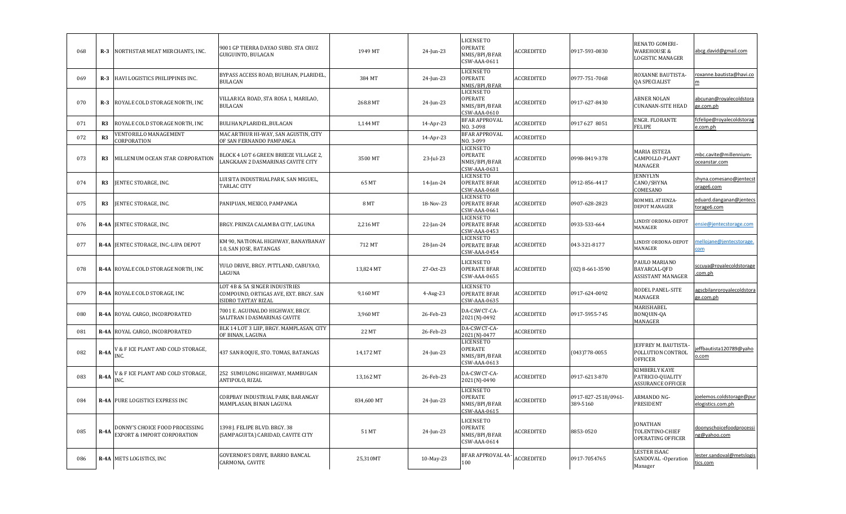| 068 | $R-3$    | NORTHSTAR MEAT MERCHANTS, INC.                                | 9001 GP TIERRA DAYAO SUBD. STA CRUZ<br>GUIGUINTO, BULACAN                                    | 1949 MT    | 24-Jun-23    | <b>LICENSE TO</b><br><b>OPERATE</b><br>NMIS/BPI/BFAR<br>CSW-AAA-0611 | ACCREDITED        | 0917-593-0830                   | RENATO GOMERI-<br><b>WAREHOUSE &amp;</b><br>LOGISTIC MANAGER   | abcg.david@gmail.com                          |
|-----|----------|---------------------------------------------------------------|----------------------------------------------------------------------------------------------|------------|--------------|----------------------------------------------------------------------|-------------------|---------------------------------|----------------------------------------------------------------|-----------------------------------------------|
| 069 | $R-3$    | HAVI LOGISTICS PHILIPPINES INC.                               | BYPASS ACCESS ROAD, BULIHAN, PLARIDEL,<br><b>BULACAN</b>                                     | 384 MT     | 24-Jun-23    | <b>LICENSE TO</b><br><b>OPERATE</b><br>NMIS/BPI/BFAR                 | <b>ACCREDITED</b> | 0977-751-7068                   | ROXANNE BAUTISTA-<br><b>QA SPECIALIST</b>                      | roxanne.bautista@havi.co<br>m                 |
| 070 | $R-3$    | ROYALE COLD STORAGE NORTH, INC                                | VILLARICA ROAD, STA ROSA 1, MARILAO,<br><b>BULACAN</b>                                       | 268.8 MT   | 24-Jun-23    | <b>LICENSE TO</b><br><b>OPERATE</b><br>NMIS/BPI/BFAR<br>CSW-AAA-0610 | <b>ACCREDITED</b> | 0917-627-8430                   | <b>ABNER NOLAN</b><br><b>CUNANAN-SITE HEAD</b>                 | abcunan@royalecoldstora<br>e.com.ph           |
| 071 | R3       | ROYALE COLD STORAGE NORTH, INC                                | BULIHAN, PLARIDEL, BULACAN                                                                   | 1,144 MT   | 14-Apr-23    | <b>BFAR APPROVAL</b><br>NO. 3-098                                    | <b>ACCREDITED</b> | 0917 627 8051                   | ENGR. FLORANTE<br>FELIPE                                       | fcfelipe@royalecoldstorag<br>.com.ph          |
| 072 | R3       | <b>ENTORILLO MANAGEMENT</b><br>CORPORATION                    | MAC ARTHUR HI-WAY, SAN AGUSTIN, CITY<br>OF SAN FERNANDO PAMPANGA                             |            | 14-Apr-23    | <b>BFAR APPROVAL</b><br>NO. 3-099                                    | ACCREDITED        |                                 |                                                                |                                               |
| 073 | R3       | MILLENIUM OCEAN STAR CORPORATION                              | BLOCK 4 LOT 6 GREEN BREEZE VILLAGE 2,<br>LANGKAAN 2 DASMARINAS CAVITE CITY                   | 3500 MT    | $23$ -Jul-23 | <b>LICENSE TO</b><br><b>OPERATE</b><br>NMIS/BPI/BFAR<br>CSW-AAA-0631 | ACCREDITED        | 0998-8419-378                   | MARIA ESTEZA<br>CAMPOLLO-PLANT<br>MANAGER                      | mbc.cavite@millennium-<br>oceanstar.com       |
| 074 | R3       | JENTEC STOARGE, INC.                                          | JUISITA INDUSTRIALPARK, SAN MIGUEL,<br>TARLAC CITY                                           | 65 MT      | 14-Jan-24    | <b>LICENSE TO</b><br><b>OPERATE BFAR</b><br>CSW-AAA-0668             | ACCREDITED        | 0912-856-4417                   | <b>JENNYLYN</b><br>CANO/SHYNA<br>COMESANO                      | shyna.comesano@jentecst<br>orage6.com         |
| 075 | R3       | JENTEC STORAGE, INC.                                          | PANIPUAN, MEXICO, PAMPANGA                                                                   | 8 MT       | 18-Nov-23    | <b>LICENSE TO</b><br><b>OPERATE BFAR</b><br>CSW-AAA-0661             | ACCREDITED        | 0907-628-2823                   | ROMMEL ATIENZA-<br><b>DEPOT MANAGER</b>                        | eduard.danganan@jentecs<br>torage6.com        |
| 076 | $R - 4A$ | JENTEC STORAGE, INC.                                          | BRGY. PRINZA CALAMBA CITY, LAGUNA                                                            | 2,216 MT   | 22-Jan-24    | <b>LICENSE TO</b><br><b>OPERATE BFAR</b><br>CSW-AAA-0453             | <b>ACCREDITED</b> | 0933-533-664                    | LINDSY ORDONA-DEPOT<br>MANAGER                                 | nsie@jentecstorage.com                        |
| 077 | $R - 4A$ | JENTEC STORAGE, INC.-LIPA DEPOT                               | KM 90, NATIONAL HIGHWAY, BANAYBANAY<br>1.0, SAN JOSE, BATANGAS                               | 712 MT     | 28-Jan-24    | <b>LICENSE TO</b><br><b>OPERATE BFAR</b><br>CSW-AAA-0454             | <b>ACCREDITED</b> | 043-321-8177                    | LINDSY ORDONA-DEPOT<br>MANAGER                                 | nelloiane@ientecstorage.<br>$\frac{1}{2}$     |
| 078 |          | R-4A ROYALE COLD STORAGE NORTH, INC                           | YULO DRIVE, BRGY. PITTLAND, CABUYAO,<br>LAGUNA                                               | 13,824 MT  | 27-Oct-23    | <b>LICENSE TO</b><br><b>OPERATE BFAR</b><br><b>CSW-AAA-0655</b>      | <b>ACCREDITED</b> | $(02)$ 8-661-3590               | PAULO MARIANO<br>BAYARCAL-OFD<br><b>ASSISTANT MANAGER</b>      | sccuya@royalecoldstorage<br>com.ph            |
| 079 |          | R-4A ROYALE COLD STORAGE, INC                                 | LOT 4B & 5A SINGER INDUSTRIES<br>COMPOUND, ORTIGAS AVE, EXT. BRGY. SAN<br>SIDRO TAYTAY RIZAL | 9,160 MT   | $4$ -Aug-23  | <b>LICENSE TO</b><br><b>OPERATE BFAR</b><br>CSW-AAA-0635             | ACCREDITED        | 0917-624-0092                   | RODEL PANEL-SITE<br>MANAGER                                    | gscbilanroroyalecoldstora<br>ge.com.ph        |
| 080 | $R - 4A$ | ROYAL CARGO, INCORPORATED                                     | 7001 E. AGUINALDO HIGHWAY, BRGY.<br>SALITRAN I DASMARINAS CAVITE                             | 3,960 MT   | 26-Feb-23    | DA-CSWCT-CA-<br>2021(N)-0492                                         | ACCREDITED        | 0917-5955-745                   | <b>MARISHABEL</b><br>BONQUIN-QA<br>MANAGER                     |                                               |
| 081 |          | R-4A ROYAL CARGO, INCORPORATED                                | BLK 14 LOT 3 LIIP, BRGY. MAMPLASAN, CITY<br>OF BINAN, LAGUNA                                 | 22 MT      | 26-Feb-23    | DA-CSWCT-CA-<br>2021(N)-0477                                         | ACCREDITED        |                                 |                                                                |                                               |
| 082 | $R - 4A$ | / & F ICE PLANT AND COLD STORAGE,<br>INC.                     | 437 SAN ROQUE, STO. TOMAS, BATANGAS                                                          | 14,172 MT  | 24-Jun-23    | <b>LICENSE TO</b><br>OPERATE<br>NMIS/BPI/BFAR<br>CSW-AAA-0613        | <b>ACCREDITED</b> | $(043)778 - 0055$               | EFFREY M. BAUTISTA-<br>POLLUTION CONTROL<br><b>OFFICER</b>     | effbautista120789@yaho<br>.com                |
| 083 | $R - 4A$ | / & F ICE PLANT AND COLD STORAGE,<br>INC.                     | 252 SUMULONG HIGHWAY, MAMBUGAN<br>ANTIPOLO, RIZAL                                            | 13,162 MT  | 26-Feb-23    | DA-CSWCT-CA-<br>2021(N)-0490                                         | <b>ACCREDITED</b> | 0917-6213-870                   | KIMBERLY KAYE<br>PATRICIO-QUALITY<br><b>ASSURANCE OFFICER</b>  |                                               |
| 084 | $R - 4A$ | PURE LOGISTICS EXPRESS INC                                    | CORPBAY INDUSTRIAL PARK, BARANGAY<br>MAMPLASAN, BINAN LAGUNA                                 | 834,600 MT | 24-Jun-23    | <b>LICENSE TO</b><br><b>OPERATE</b><br>NMIS/BPI/BFAR<br>CSW-AAA-0615 | ACCREDITED        | 0917-827-2518/0961-<br>389-5160 | ARMANDO NG-<br>PRESIDENT                                       | joelemos.coldstorage@pur<br>elogistics.com.ph |
| 085 | $R - 4A$ | DONNY'S CHOICE FOOD PROCESSING<br>EXPORT & IMPORT CORPORATION | 1398 I. FELIPE BLVD. BRGY. 38<br>(SAMPAGUITA) CARIDAD, CAVITE CITY                           | 51 MT      | 24-Jun-23    | <b>LICENSE TO</b><br><b>OPERATE</b><br>NMIS/BPI/BFAR<br>CSW-AAA-0614 | <b>ACCREDITED</b> | 8853-0520                       | <b>JONATHAN</b><br>TOLENTINO-CHIEF<br><b>OPERATING OFFICER</b> | doonyschoicefoodprocessi<br>ng@yahoo.com      |
| 086 |          | R-4A METS LOGISTICS, INC                                      | GOVERNOR'S DRIVE, BARRIO BANCAL<br>CARMONA, CAVITE                                           | 25,310MT   | 10-May-23    | <b>BFAR APPROVAL 4A-</b><br>100                                      | <b>ACCREDITED</b> | 0917-7054765                    | LESTER ISAAC<br>SANDOVAL-Operation<br>Manager                  | ester.sandoval@metslogis<br>tics.com          |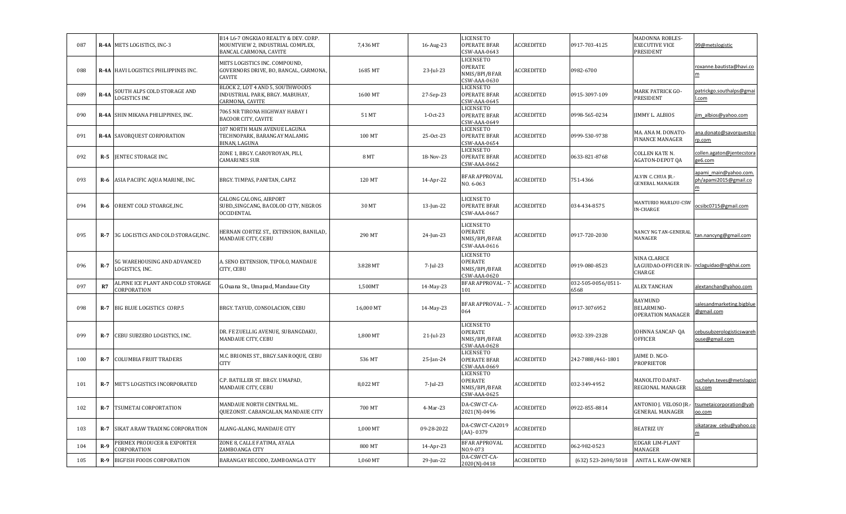| 087 |             | R-4A METS LOGISTICS, INC-3                       | B14 L6-7 ONGKIAO REALTY & DEV. CORP.<br>MOUNTVIEW 2, INDUSTRIAL COMPLEX,<br>BANCAL CARMONA, CAVITE | 7,436 MT  | 16-Aug-23    | <b>LICENSE TO</b><br><b>OPERATE BFAR</b><br>CSW-AAA-0643             | ACCREDITED        | 0917-703-4125              | MADONNA ROBLES-<br><b>EXECUTIVE VICE</b><br>PRESIDENT | 99@metslogistic                                |
|-----|-------------|--------------------------------------------------|----------------------------------------------------------------------------------------------------|-----------|--------------|----------------------------------------------------------------------|-------------------|----------------------------|-------------------------------------------------------|------------------------------------------------|
| 088 |             | R-4A HAVI LOGISTICS PHILIPPINES INC.             | METS LOGISTICS INC. COMPOUND,<br>GOVERNORS DRIVE, BO, BANCAL, CARMONA,<br>CAVITE                   | 1685 MT   | 23-Jul-23    | <b>LICENSE TO</b><br>OPERATE<br>NMIS/BPI/BFAR<br>CSW-AAA-0630        | ACCREDITED        | 0982-6700                  |                                                       | roxanne.bautista@havi.co                       |
| 089 | <b>R-4A</b> | SOUTH ALPS COLD STORAGE AND<br>LOGISTICS INC     | BLOCK 2, LOT 4 AND 5, SOUTHWOODS<br>INDUSTRIAL PARK, BRGY. MABUHAY,<br>CARMONA, CAVITE             | 1600 MT   | 27-Sep-23    | <b>LICENSE TO</b><br><b>OPERATE BFAR</b><br>CSW-AAA-0645             | <b>ACCREDITED</b> | 0915-3097-109              | MARK PATRICK GO-<br>PRESIDENT                         | patrickgo.southalps@gmai<br>I.com              |
| 090 |             | R-4A SHIN MIKANA PHILIPPINES, INC.               | 7065 NR TIRONA HIGHWAY HABAY I<br><b>BACOOR CITY, CAVITE</b>                                       | 51 MT     | $1-0ct-23$   | <b>LICENSE TO</b><br><b>OPERATE BFAR</b><br>CSW-AAA-0649             | ACCREDITED        | 0998-565-0234              | <b>IMMY L. ALBIOS</b>                                 | im albios@yahoo.com                            |
| 091 |             | R-4A SAVORQUEST CORPORATION                      | 107 NORTH MAIN AVENUE LAGUNA<br>TECHNOPARK, BARANGAY MALAMIG<br>BINAN, LAGUNA                      | 100 MT    | 25-Oct-23    | <b>LICENSE TO</b><br><b>OPERATE BFAR</b><br>CSW-AAA-0654             | <b>ACCREDITED</b> | 0999-530-9738              | MA. ANA M. DONATO-<br><b>FINANCE MANAGER</b>          | ana.donato@savorquestco<br>rp.com              |
| 092 | $R-5$       | JENTEC STORAGE INC.                              | ZONE 1, BRGY. CAROYROYAN, PILI,<br>CAMARINES SUR                                                   | 8 MT      | 18-Nov-23    | <b>LICENSE TO</b><br><b>OPERATE BFAR</b><br>CSW-AAA-0662             | ACCREDITED        | 0633-821-8768              | COLLEN KATE N.<br>AGATON-DEPOT QA                     | collen.agaton@jentecstora<br>ge6.com           |
| 093 | R-6         | ASIA PACIFIC AQUA MARINE, INC.                   | BRGY. TIMPAS, PANITAN, CAPIZ                                                                       | 120 MT    | 14-Apr-22    | <b>BFAR APPROVAL</b><br>NO.6-063                                     | ACCREDITED        | 751-4366                   | ALVIN C. CHUA JR.-<br><b>GENERAL MANAGER</b>          | apami main@yahoo.com.<br>ph/apami2015@gmail.co |
| 094 | R-6         | ORIENT COLD STOARGE, INC.                        | CALONG CALONG, AIRPORT<br>SUBD., SINGCANG, BACOLOD CITY, NEGROS<br>OCCIDENTAL                      | 30 MT     | 13-Jun-22    | <b>LICENSE TO</b><br><b>OPERATE BFAR</b><br>CSW-AAA-0667             | <b>ACCREDITED</b> | 034-434-8575               | MANTURIO MARLOU-CSW<br>IN-CHARGE                      | csibc0715@gmail.com                            |
| 095 | <b>R-7</b>  | 3G LOGISTICS AND COLD STORAGE,INC.               | HERNAN CORTEZ ST., EXTENSION, BANILAD,<br>MANDAUE CITY, CEBU                                       | 290 MT    | 24-Jun-23    | <b>LICENSE TO</b><br><b>OPERATE</b><br>NMIS/BPI/BFAR<br>CSW-AAA-0616 | ACCREDITED        | 0917-720-2030              | NANCY NG TAN-GENERAL<br>MANAGER                       | tan.nancyng@gmail.com                          |
| 096 | $R-7$       | 5G WAREHOUSING AND ADVANCED<br>LOGISTICS, INC.   | A. SENO EXTENSION, TIPOLO, MANDAUE<br>CITY, CEBU                                                   | 3.828 MT  | 7-Jul-23     | <b>LICENSE TO</b><br><b>OPERATE</b><br>NMIS/BPI/BFAR<br>CSW-AAA-0620 | <b>ACCREDITED</b> | 0919-080-8523              | NINA CLARICE<br>CHARGE                                | LAGUIDAO-OFFICER IN- nclaguidao@ngkhai.com     |
| 097 | R7          | ALPINE ICE PLANT AND COLD STORAGE<br>CORPORATION | G.Ouana St., Umapad, Mandaue City                                                                  | 1,500MT   | 14-May-23    | <b>BFAR APPROVAL - 7</b><br>101                                      | ACCREDITED        | 032-505-0056/0511-<br>6568 | <b>ALEX TANCHAN</b>                                   | alextanchan@yahoo.com                          |
| 098 | $R-7$       | BIG BLUE LOGISTICS CORP.5                        | BRGY. TAYUD, CONSOLACION, CEBU                                                                     | 16,000 MT | 14-May-23    | <b>BFAR APPROVAL - 7-</b><br>064                                     | <b>ACCREDITED</b> | 0917-3076952               | RAYMUND<br>BELARMINO-<br><b>OPERATION MANAGER</b>     | salesandmarketing.bigblue<br>@gmail.com        |
| 099 | <b>R-7</b>  | CEBU SUBZERO LOGISTICS, INC.                     | DR. FE ZUELLIG AVENUE, SUBANGDAKU,<br>MANDAUE CITY, CEBU                                           | 1,800 MT  | $21$ -Jul-23 | <b>LICENSE TO</b><br><b>OPERATE</b><br>NMIS/BPI/BFAR<br>CSW-AAA-0628 | ACCREDITED        | 0932-339-2328              | JOHNNA SANCAP-QA<br><b>OFFICER</b>                    | cebusubzerologisticswareh<br>ouse@gmail.com    |
| 100 | $R-7$       | <b>COLUMBIA FRUIT TRADERS</b>                    | M.C. BRIONES ST., BRGY.SAN ROQUE, CEBU<br>CITY                                                     | 536 MT    | 25-Jan-24    | <b>LICENSE TO</b><br><b>OPERATE BFAR</b><br>CSW-AAA-0669             | <b>ACCREDITED</b> | 242-7888/461-1801          | JAIME D. NGO-<br>PROPRIETOR                           |                                                |
| 101 | $R-7$       | MET'S LOGISTICS INCORPORATED                     | C.P. BATILLER ST. BRGY. UMAPAD,<br>MANDAUE CITY, CEBU                                              | 8,022 MT  | 7-Jul-23     | <b>LICENSE TO</b><br>OPERATE<br>NMIS/BPI/BFAR<br>CSW-AAA-0625        | ACCREDITED        | 032-349-4952               | MANOLITO DAPAT-<br>REGIONAL MANAGER                   | ruchelyn.teves@metslogist<br>ics.com           |
| 102 | <b>R-7</b>  | TSUMETAI CORPORTATION                            | MANDAUE NORTH CENTRAL ML.<br>QUEZONST. CABANCALAN, MANDAUE CITY                                    | 700 MT    | 4-Mar-23     | DA-CSWCT-CA-<br>2021(N)-0496                                         | ACCREDITED        | 0922-855-8814              | ANTONIO J. VELOSO JR.-<br><b>GENERAL MANAGER</b>      | tsumetaicorporation@yah<br>oo.com              |
| 103 | $R-7$       | SIKAT ARAW TRADING CORPORATION                   | ALANG-ALANG, MANDAUE CITY                                                                          | 1,000 MT  | 09-28-2022   | DA-CSWCT-CA2019<br>$(AA) - 0379$                                     | ACCREDITED        |                            | <b>BEATRIZ UY</b>                                     | sikataraw cebu@yahoo.co<br>m                   |
| 104 | $R-9$       | PERMEX PRODUCER & EXPORTER<br>CORPORATION        | ZONE 8, CALLE FATIMA, AYALA<br>ZAMBOANGA CITY                                                      | 800 MT    | 14-Apr-23    | <b>BFAR APPROVAL</b><br>NO.9-073                                     | ACCREDITED        | 062-982-0523               | EDGAR LIM-PLANT<br>MANAGER                            |                                                |
| 105 | $R-9$       | BIGFISH FOODS CORPORATION                        | BARANGAY RECODO, ZAMBOANGA CITY                                                                    | 1.060 MT  | 29-Jun-22    | DA-CSWCT-CA-<br>2020(N)-0418                                         | <b>ACCREDITED</b> | (632) 523-2698/5018        | ANITA L. KAW-OWNER                                    |                                                |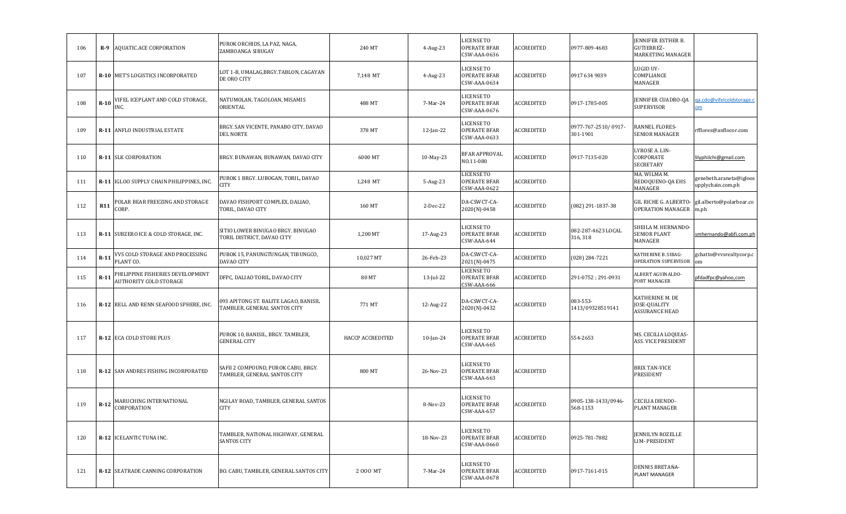| 106 | $R-9$      | AQUATIC.ACE CORPORATION                                    | PUROK ORCHIDS, LA PAZ, NAGA,<br>ZAMBOANGA SIBUGAY                     | 240 MT           | $4-Aug-23$   | LICENSE TO<br>OPERATE BFAR<br>CSW-AAA-0636        | <b>ACCREDITED</b> | 0977-809-4683                   | JENNIFER ESTHER B.<br>GUTIERREZ-<br>MARKETING MANAGER |                                              |
|-----|------------|------------------------------------------------------------|-----------------------------------------------------------------------|------------------|--------------|---------------------------------------------------|-------------------|---------------------------------|-------------------------------------------------------|----------------------------------------------|
| 107 |            | R-10   MET'S LOGISTICS INCORPORATED                        | LOT 1-B, UMALAG,BRGY.TABLON, CAGAYAN<br>DE ORO CITY                   | 7,148 MT         | 4-Aug-23     | LICENSE TO<br><b>OPERATE BFAR</b><br>CSW-AAA-0634 | ACCREDITED        | 0917 634 9039                   | LUGID UY-<br>COMPLIANCE<br>MANAGER                    |                                              |
| 108 | $R-10$     | VIFEL ICEPLANT AND COLD STORAGE,<br>INC.                   | NATUMOLAN, TAGOLOAN, MISAMIS<br>ORIENTAL                              | 488 MT           | 7-Mar-24     | LICENSE TO<br><b>OPERATE BFAR</b><br>CSW-AAA-0676 | ACCREDITED        | 0917-1785-005                   | JENNIFER CUADRO-QA<br><b>SUPERVISOR</b>               | a.cdo@vifelcoldstorage.c<br><u>om</u>        |
| 109 |            | R-11 ANFLO INDUSTRIAL ESTATE                               | BRGY. SAN VICENTE, PANABO CITY, DAVAO<br>DEL NORTE                    | 378 MT           | $12$ -Jan-22 | LICENSE TO<br><b>OPERATE BFAR</b><br>CSW-AAA-0633 | ACCREDITED        | 0977-767-2510/0917-<br>301-1901 | RANNEL FLORES-<br><b>SENIOR MANAGER</b>               | rfflores@anflocor.com                        |
| 110 |            | <b>R-11 SLK CORPORATION</b>                                | BRGY. BUNAWAN, BUNAWAN, DAVAO CITY                                    | 6000 MT          | 10-May-23    | <b>BFAR APPROVAL</b><br>NO.11-080                 | ACCREDITED        | 0917-7135-020                   | LYROSE A. LIN-<br>CORPORATE<br><b>SECRETARY</b>       | lilyphilchi@gmail.com                        |
| 111 |            | R-11 IGLOO SUPPLY CHAIN PHILIPPINES, INC.                  | PUROK 1 BRGY. LUBOGAN, TORIL, DAVAO<br><b>CITY</b>                    | 1,248 MT         | 5-Aug-23     | LICENSE TO<br><b>OPERATE BFAR</b><br>CSW-AAA-0622 | ACCREDITED        |                                 | MA. WILMA M.<br>REDOQUENO-QA EHS<br>MANAGER           | genebeth.araneta@igloos<br>upplychain.com.ph |
| 112 | <b>R11</b> | POLAR BEAR FREEZING AND STORAGE<br>CORP.                   | DAVAO FISHPORT COMPLEX, DALIAO,<br>TORIL, DAVAO CITY                  | 160 MT           | 2-Dec-22     | DA-CSWCT-CA-<br>2020(N)-0458                      | ACCREDITED        | (082) 291-1837-38               | GIL RICHE G. ALBERTO-<br><b>OPERATION MANAGER</b>     | gil.alberto@polarbear.co<br>m.ph             |
| 113 |            | R-11 SUBZERO ICE & COLD STORAGE, INC.                      | SITIO LOWER BINUGAO BRGY. BINUGAO<br>TORIL DISTRICT, DAVAO CITY       | 1,200 MT         | 17-Aug-23    | LICENSE TO<br>OPERATE BFAR<br>CSW-AAA-644         | ACCREDITED        | 082-287-4623 LOCAL<br>316, 318  | SHEILA M. HERNANDO-<br><b>SENIOR PLANT</b><br>MANAGER | smhernando@abfi.com.ph                       |
| 114 | $R-11$     | VVS COLD STORAGE AND PROCESSING<br>PLANT CO.               | PUROK 15, PANUNGTUNGAN, TIBUNGCO,<br>DAVAO CITY                       | 10,027 MT        | 26-Feb-23    | DA-CSWCT-CA-<br>2021(N)-0475                      | ACCREDITED        | $(028)$ 284-7221                | KATHERINE B. SIBAG-<br>OPERATION SUPERVISOR           | gchatto@vvsrealtycorp.c<br>om                |
| 115 | $R-11$     | PHILIPPINE FISHERIES DEVELOPMENT<br>AUTHORITY COLD STORAGE | DFPC, DALIAO TORIL, DAVAO CITY                                        | 80 MT            | 13-Jul-22    | LICENSE TO<br><b>OPERATE BFAR</b><br>CSW-AAA-666  | ACCREDITED        | 291-0752; 291-0931              | <b>LEBERT AGUINALDO-</b><br>PORT MANAGER              | ofdadfpc@yahoo,com                           |
| 116 |            | R-12 RELL AND RENN SEAFOOD SPHERE, INC                     | 093 APITONG ST. BALITE LAGAO, BANISIL<br>TAMBLER, GENERAL SANTOS CITY | 771 MT           | 12-Aug-22    | DA-CSWCT-CA-<br>2020(N)-0432                      | ACCREDITED        | 083-553-<br>1413/09328519141    | KATHERINE M. DE<br>JOSE-QUALITY<br>ASSURANCE HEAD     |                                              |
| 117 |            | R-12 ECA COLD STORE PLUS                                   | PUROK 10, BANISIL, BRGY. TAMBLER,<br>GENERAL CITY                     | HACCP ACCREDITED | $10$ -Jan-24 | LICENSE TO<br><b>OPERATE BFAR</b><br>CSW-AAA-665  | <b>ACCREDITED</b> | 554-2653                        | MS. CECILIA LOQUIAS-<br>ASS. VICE PRESIDENT           |                                              |
| 118 |            | R-12 SAN ANDRES FISHING INCORPORATED                       | SAFII 2 COMPOUND, PUROK CABU, BRGY.<br>TAMBLER, GENERAL SANTOS CITY   | 800 MT           | 26-Nov-23    | LICENSE TO<br>OPERATE BFAR<br>CSW-AAA-663         | <b>ACCREDITED</b> |                                 | <b>BRIX TAN-VICE</b><br>PRESIDENT                     |                                              |
| 119 | $R-12$     | MARUCHING INTERNATIONAL<br>CORPORATION                     | NGILAY ROAD, TAMBLER, GENERAL SANTOS<br><b>CITY</b>                   |                  | 8-Nov-23     | LICENSE TO<br><b>OPERATE BFAR</b><br>SW-AAA-657   | ACCREDITED        | 0905-138-1433/0946-<br>568-1153 | <b>CECILIA DIENDO-</b><br>PLANT MANAGER               |                                              |
| 120 |            | R-12 ICELANTIC TUNA INC.                                   | TAMBLER, NATIONAL HIGHWAY, GENERAL<br><b>SANTOS CITY</b>              |                  | 18-Nov-23    | LICENSE TO<br><b>OPERATE BFAR</b><br>CSW-AAA-0660 | ACCREDITED        | 0925-781-7882                   | JENNILYN ROZELLE<br>LIM-PRESIDENT                     |                                              |
| 121 |            | <b>R-12 SEATRADE CANNING CORPORATION</b>                   | BO. CABU, TAMBLER, GENERAL SANTOS CITY                                | 2000 MT          | 7-Mar-24     | LICENSE TO<br><b>OPERATE BFAR</b><br>CSW-AAA-0678 | <b>ACCREDITED</b> | 0917-7161-015                   | DENNIS BRETANA-<br>PLANT MANAGER                      |                                              |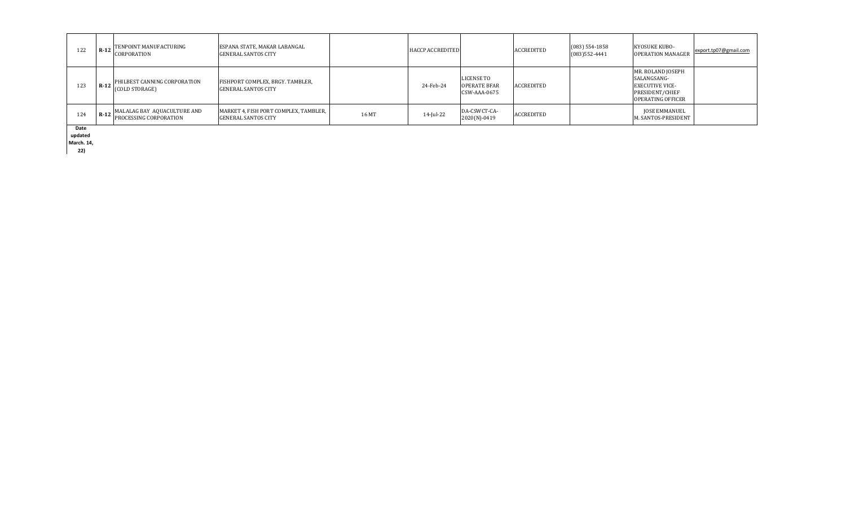| 122  | $R-12$ | TENPOINT MANUFACTURING<br>CORPORATION                        | ESPANA STATE, MAKAR LABANGAL<br><b>GENERAL SANTOS CITY</b>          |       | <b>HACCP ACCREDITED</b> |                                                          | ACCREDITED | $(083)$ 554-1858<br>$(083)$ 552-4441 | <b>KYOSUKE KUBO-</b><br><b>OPERATION MANAGER</b>                                                          | export.tp07@gmail.com |
|------|--------|--------------------------------------------------------------|---------------------------------------------------------------------|-------|-------------------------|----------------------------------------------------------|------------|--------------------------------------|-----------------------------------------------------------------------------------------------------------|-----------------------|
| 123  | $R-12$ | PHILBEST CANNING CORPORATION<br>(COLD STORAGE)               | FISHPORT COMPLEX, BRGY. TAMBLER,<br><b>GENERAL SANTOS CITY</b>      |       | 24-Feb-24               | <b>LICENSE TO</b><br><b>OPERATE BFAR</b><br>CSW-AAA-0675 | ACCREDITED |                                      | MR. ROLAND JOSEPH<br>SALANGSANG-<br><b>EXECUTIVE VICE-</b><br>PRESIDENT/CHIEF<br><b>OPERATING OFFICER</b> |                       |
| 124  | $R-12$ | MALALAG BAY AQUACULTURE AND<br><b>PROCESSING CORPORATION</b> | MARKET 4, FISH PORT COMPLEX, TAMBLER,<br><b>GENERAL SANTOS CITY</b> | 16 MT | 14-Jul-22               | DA-CSWCT-CA-<br>2020(N)-0419                             | ACCREDITED |                                      | JOSE EMMANUEL<br>M. SANTOS-PRESIDENT                                                                      |                       |
| Date |        |                                                              |                                                                     |       |                         |                                                          |            |                                      |                                                                                                           |                       |

**updated** 

**March. 14,** 

**22)**